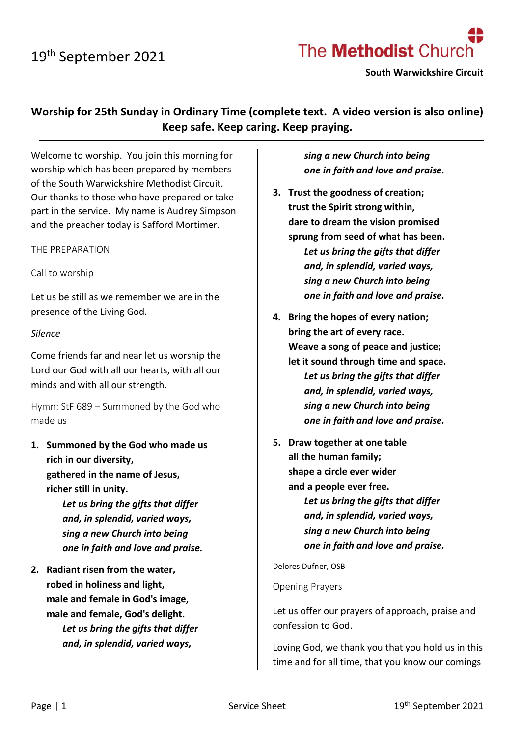

**South Warwickshire Circuit**

**Worship for 25th Sunday in Ordinary Time (complete text. A video version is also online) Keep safe. Keep caring. Keep praying.**

Welcome to worship. You join this morning for worship which has been prepared by members of the South Warwickshire Methodist Circuit. Our thanks to those who have prepared or take part in the service. My name is Audrey Simpson and the preacher today is Safford Mortimer.

THE PREPARATION

Call to worship

Let us be still as we remember we are in the presence of the Living God.

#### *Silence*

Come friends far and near let us worship the Lord our God with all our hearts, with all our minds and with all our strength.

Hymn: StF 689 – Summoned by the God who made us

**1. Summoned by the God who made us rich in our diversity, gathered in the name of Jesus, richer still in unity.** *Let us bring the gifts that differ and, in splendid, varied ways,*

> *sing a new Church into being one in faith and love and praise.*

**2. Radiant risen from the water, robed in holiness and light, male and female in God's image, male and female, God's delight.** *Let us bring the gifts that differ and, in splendid, varied ways,*

*sing a new Church into being one in faith and love and praise.*

- **3. Trust the goodness of creation; trust the Spirit strong within, dare to dream the vision promised sprung from seed of what has been.** *Let us bring the gifts that differ and, in splendid, varied ways, sing a new Church into being one in faith and love and praise.*
- **4. Bring the hopes of every nation; bring the art of every race. Weave a song of peace and justice; let it sound through time and space.** *Let us bring the gifts that differ and, in splendid, varied ways, sing a new Church into being one in faith and love and praise.*
- **5. Draw together at one table all the human family; shape a circle ever wider and a people ever free.**

*Let us bring the gifts that differ and, in splendid, varied ways, sing a new Church into being one in faith and love and praise.*

Delores Dufner, OSB

Opening Prayers

Let us offer our prayers of approach, praise and confession to God.

Loving God, we thank you that you hold us in this time and for all time, that you know our comings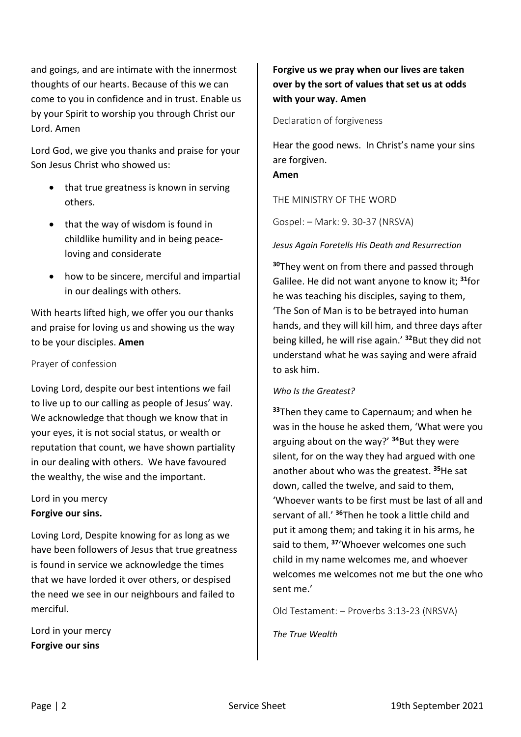and goings, and are intimate with the innermost thoughts of our hearts. Because of this we can come to you in confidence and in trust. Enable us by your Spirit to worship you through Christ our Lord. Amen

Lord God, we give you thanks and praise for your Son Jesus Christ who showed us:

- that true greatness is known in serving others.
- that the way of wisdom is found in childlike humility and in being peaceloving and considerate
- how to be sincere, merciful and impartial in our dealings with others.

With hearts lifted high, we offer you our thanks and praise for loving us and showing us the way to be your disciples. **Amen**

### Prayer of confession

Loving Lord, despite our best intentions we fail to live up to our calling as people of Jesus' way. We acknowledge that though we know that in your eyes, it is not social status, or wealth or reputation that count, we have shown partiality in our dealing with others. We have favoured the wealthy, the wise and the important.

### Lord in you mercy **Forgive our sins.**

Loving Lord, Despite knowing for as long as we have been followers of Jesus that true greatness is found in service we acknowledge the times that we have lorded it over others, or despised the need we see in our neighbours and failed to merciful.

Lord in your mercy **Forgive our sins**

# **Forgive us we pray when our lives are taken over by the sort of values that set us at odds with your way. Amen**

Declaration of forgiveness

Hear the good news. In Christ's name your sins are forgiven. **Amen**

THE MINISTRY OF THE WORD

Gospel: – Mark: 9. 30-37 (NRSVA)

#### *Jesus Again Foretells His Death and Resurrection*

**<sup>30</sup>**They went on from there and passed through Galilee. He did not want anyone to know it; **<sup>31</sup>**for he was teaching his disciples, saying to them, 'The Son of Man is to be betrayed into human hands, and they will kill him, and three days after being killed, he will rise again.' **<sup>32</sup>**But they did not understand what he was saying and were afraid to ask him.

#### *Who Is the Greatest?*

**<sup>33</sup>**Then they came to Capernaum; and when he was in the house he asked them, 'What were you arguing about on the way?' **<sup>34</sup>**But they were silent, for on the way they had argued with one another about who was the greatest. **<sup>35</sup>**He sat down, called the twelve, and said to them, 'Whoever wants to be first must be last of all and servant of all.' **<sup>36</sup>**Then he took a little child and put it among them; and taking it in his arms, he said to them, **<sup>37</sup>**'Whoever welcomes one such child in my name welcomes me, and whoever welcomes me welcomes not me but the one who sent me.'

Old Testament: – Proverbs 3:13-23 (NRSVA)

*The True Wealth*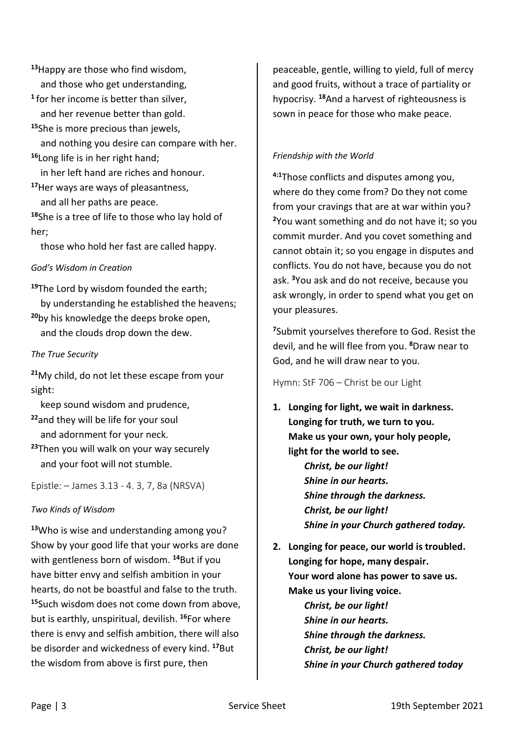**<sup>13</sup>**Happy are those who find wisdom, and those who get understanding, **1** for her income is better than silver, and her revenue better than gold.

**<sup>15</sup>**She is more precious than jewels, and nothing you desire can compare with her. **<sup>16</sup>**Long life is in her right hand;

 in her left hand are riches and honour. **<sup>17</sup>**Her ways are ways of pleasantness,

and all her paths are peace.

**<sup>18</sup>**She is a tree of life to those who lay hold of her;

those who hold her fast are called happy.

## *God's Wisdom in Creation*

**<sup>19</sup>**The Lord by wisdom founded the earth; by understanding he established the heavens; **<sup>20</sup>**by his knowledge the deeps broke open, and the clouds drop down the dew.

## *The True Security*

**<sup>21</sup>**My child, do not let these escape from your sight:

keep sound wisdom and prudence,

- **<sup>22</sup>**and they will be life for your soul and adornment for your neck.
- **<sup>23</sup>**Then you will walk on your way securely and your foot will not stumble.

Epistle: – James 3.13 - 4. 3, 7, 8a (NRSVA)

# *Two Kinds of Wisdom*

**<sup>13</sup>**Who is wise and understanding among you? Show by your good life that your works are done with gentleness born of wisdom. **<sup>14</sup>**But if you have bitter envy and selfish ambition in your hearts, do not be boastful and false to the truth. **<sup>15</sup>**Such wisdom does not come down from above, but is earthly, unspiritual, devilish. **<sup>16</sup>**For where there is envy and selfish ambition, there will also be disorder and wickedness of every kind. **<sup>17</sup>**But the wisdom from above is first pure, then

peaceable, gentle, willing to yield, full of mercy and good fruits, without a trace of partiality or hypocrisy. **<sup>18</sup>**And a harvest of righteousness is sown in peace for those who make peace.

## *Friendship with the World*

**4:1**Those conflicts and disputes among you, where do they come from? Do they not come from your cravings that are at war within you? **<sup>2</sup>**You want something and do not have it; so you commit murder. And you covet something and cannot obtain it; so you engage in disputes and conflicts. You do not have, because you do not ask. **<sup>3</sup>**You ask and do not receive, because you ask wrongly, in order to spend what you get on your pleasures.

**<sup>7</sup>**Submit yourselves therefore to God. Resist the devil, and he will flee from you. **<sup>8</sup>**Draw near to God, and he will draw near to you.

Hymn: StF 706 – Christ be our Light

- **1. Longing for light, we wait in darkness. Longing for truth, we turn to you. Make us your own, your holy people, light for the world to see.** *Christ, be our light! Shine in our hearts. Shine through the darkness. Christ, be our light! Shine in your Church gathered today.*
- **2. Longing for peace, our world is troubled. Longing for hope, many despair. Your word alone has power to save us. Make us your living voice.** *Christ, be our light! Shine in our hearts. Shine through the darkness. Christ, be our light!*

*Shine in your Church gathered today*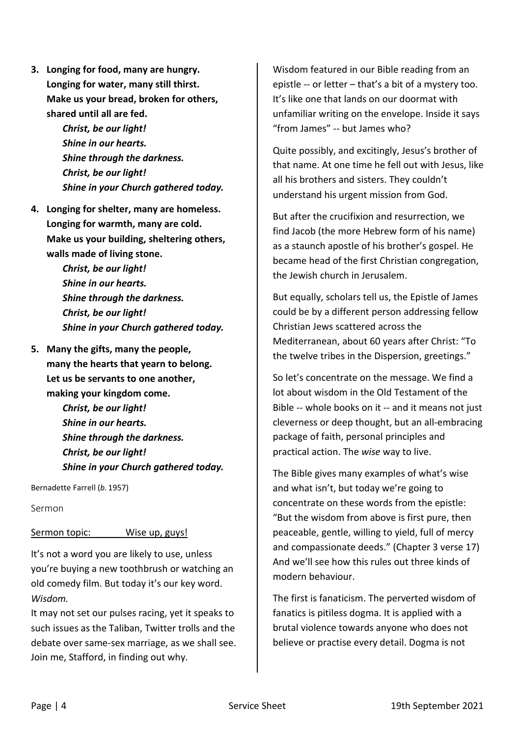- **3. Longing for food, many are hungry. Longing for water, many still thirst. Make us your bread, broken for others, shared until all are fed.**
	- *Christ, be our light! Shine in our hearts. Shine through the darkness. Christ, be our light! Shine in your Church gathered today.*
- **4. Longing for shelter, many are homeless. Longing for warmth, many are cold. Make us your building, sheltering others, walls made of living stone.**
	- *Christ, be our light! Shine in our hearts. Shine through the darkness. Christ, be our light! Shine in your Church gathered today.*
- **5. Many the gifts, many the people, many the hearts that yearn to belong. Let us be servants to one another, making your kingdom come.** *Christ, be our light! Shine in our hearts. Shine through the darkness. Christ, be our light! Shine in your Church gathered today.*

Bernadette Farrell (*b.* 1957)

Sermon

# Sermon topic: Wise up, guys!

It's not a word you are likely to use, unless you're buying a new toothbrush or watching an old comedy film. But today it's our key word. *Wisdom.*

It may not set our pulses racing, yet it speaks to such issues as the Taliban, Twitter trolls and the debate over same-sex marriage, as we shall see. Join me, Stafford, in finding out why.

Wisdom featured in our Bible reading from an epistle -- or letter – that's a bit of a mystery too. It's like one that lands on our doormat with unfamiliar writing on the envelope. Inside it says "from James" -- but James who?

Quite possibly, and excitingly, Jesus's brother of that name. At one time he fell out with Jesus, like all his brothers and sisters. They couldn't understand his urgent mission from God.

But after the crucifixion and resurrection, we find Jacob (the more Hebrew form of his name) as a staunch apostle of his brother's gospel. He became head of the first Christian congregation, the Jewish church in Jerusalem.

But equally, scholars tell us, the Epistle of James could be by a different person addressing fellow Christian Jews scattered across the Mediterranean, about 60 years after Christ: "To the twelve tribes in the Dispersion, greetings."

So let's concentrate on the message. We find a lot about wisdom in the Old Testament of the Bible -- whole books on it -- and it means not just cleverness or deep thought, but an all-embracing package of faith, personal principles and practical action. The *wise* way to live.

The Bible gives many examples of what's wise and what isn't, but today we're going to concentrate on these words from the epistle: "But the wisdom from above is first pure, then peaceable, gentle, willing to yield, full of mercy and compassionate deeds." (Chapter 3 verse 17) And we'll see how this rules out three kinds of modern behaviour.

The first is fanaticism. The perverted wisdom of fanatics is pitiless dogma. It is applied with a brutal violence towards anyone who does not believe or practise every detail. Dogma is not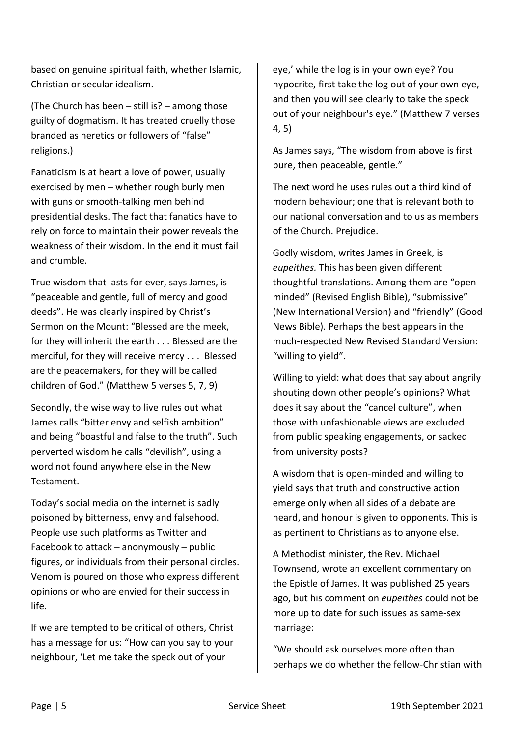based on genuine spiritual faith, whether Islamic, Christian or secular idealism.

(The Church has been – still is? – among those guilty of dogmatism. It has treated cruelly those branded as heretics or followers of "false" religions.)

Fanaticism is at heart a love of power, usually exercised by men – whether rough burly men with guns or smooth-talking men behind presidential desks. The fact that fanatics have to rely on force to maintain their power reveals the weakness of their wisdom. In the end it must fail and crumble.

True wisdom that lasts for ever, says James, is "peaceable and gentle, full of mercy and good deeds". He was clearly inspired by Christ's Sermon on the Mount: "Blessed are the meek, for they will inherit the earth . . . Blessed are the merciful, for they will receive mercy . . . Blessed are the peacemakers, for they will be called children of God." (Matthew 5 verses 5, 7, 9)

Secondly, the wise way to live rules out what James calls "bitter envy and selfish ambition" and being "boastful and false to the truth". Such perverted wisdom he calls "devilish", using a word not found anywhere else in the New Testament.

Today's social media on the internet is sadly poisoned by bitterness, envy and falsehood. People use such platforms as Twitter and Facebook to attack – anonymously – public figures, or individuals from their personal circles. Venom is poured on those who express different opinions or who are envied for their success in life.

If we are tempted to be critical of others, Christ has a message for us: "How can you say to your neighbour, 'Let me take the speck out of your

eye,' while the log is in your own eye? You hypocrite, first take the log out of your own eye, and then you will see clearly to take the speck out of your neighbour's eye." (Matthew 7 verses 4, 5)

As James says, "The wisdom from above is first pure, then peaceable, gentle."

The next word he uses rules out a third kind of modern behaviour; one that is relevant both to our national conversation and to us as members of the Church. Prejudice.

Godly wisdom, writes James in Greek, is *eupeithes.* This has been given different thoughtful translations. Among them are "openminded" (Revised English Bible), "submissive" (New International Version) and "friendly" (Good News Bible). Perhaps the best appears in the much-respected New Revised Standard Version: "willing to yield".

Willing to yield: what does that say about angrily shouting down other people's opinions? What does it say about the "cancel culture", when those with unfashionable views are excluded from public speaking engagements, or sacked from university posts?

A wisdom that is open-minded and willing to yield says that truth and constructive action emerge only when all sides of a debate are heard, and honour is given to opponents. This is as pertinent to Christians as to anyone else.

A Methodist minister, the Rev. Michael Townsend, wrote an excellent commentary on the Epistle of James. It was published 25 years ago, but his comment on *eupeithes* could not be more up to date for such issues as same-sex marriage:

"We should ask ourselves more often than perhaps we do whether the fellow-Christian with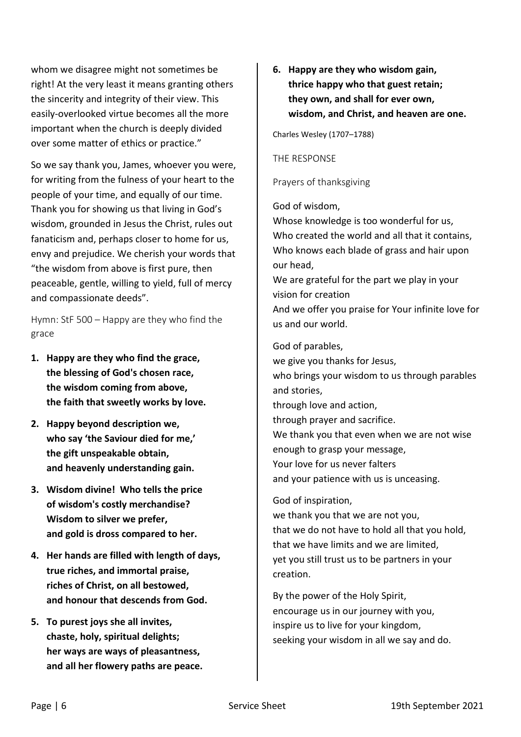whom we disagree might not sometimes be right! At the very least it means granting others the sincerity and integrity of their view. This easily-overlooked virtue becomes all the more important when the church is deeply divided over some matter of ethics or practice."

So we say thank you, James, whoever you were, for writing from the fulness of your heart to the people of your time, and equally of our time. Thank you for showing us that living in God's wisdom, grounded in Jesus the Christ, rules out fanaticism and, perhaps closer to home for us, envy and prejudice. We cherish your words that "the wisdom from above is first pure, then peaceable, gentle, willing to yield, full of mercy and compassionate deeds".

Hymn: StF 500 – Happy are they who find the grace

- **1. Happy are they who find the grace, the blessing of God's chosen race, the wisdom coming from above, the faith that sweetly works by love.**
- **2. Happy beyond description we, who say 'the Saviour died for me,' the gift unspeakable obtain, and heavenly understanding gain.**
- **3. Wisdom divine! Who tells the price of wisdom's costly merchandise? Wisdom to silver we prefer, and gold is dross compared to her.**
- **4. Her hands are filled with length of days, true riches, and immortal praise, riches of Christ, on all bestowed, and honour that descends from God.**
- **5. To purest joys she all invites, chaste, holy, spiritual delights; her ways are ways of pleasantness, and all her flowery paths are peace.**

**6. Happy are they who wisdom gain, thrice happy who that guest retain; they own, and shall for ever own, wisdom, and Christ, and heaven are one.**

Charles Wesley (1707–1788)

### THE RESPONSE

Prayers of thanksgiving

### God of wisdom,

Whose knowledge is too wonderful for us, Who created the world and all that it contains, Who knows each blade of grass and hair upon our head,

We are grateful for the part we play in your vision for creation

And we offer you praise for Your infinite love for us and our world.

God of parables,

we give you thanks for Jesus, who brings your wisdom to us through parables and stories, through love and action, through prayer and sacrifice. We thank you that even when we are not wise enough to grasp your message, Your love for us never falters and your patience with us is unceasing.

### God of inspiration,

we thank you that we are not you, that we do not have to hold all that you hold, that we have limits and we are limited, yet you still trust us to be partners in your creation.

By the power of the Holy Spirit, encourage us in our journey with you, inspire us to live for your kingdom, seeking your wisdom in all we say and do.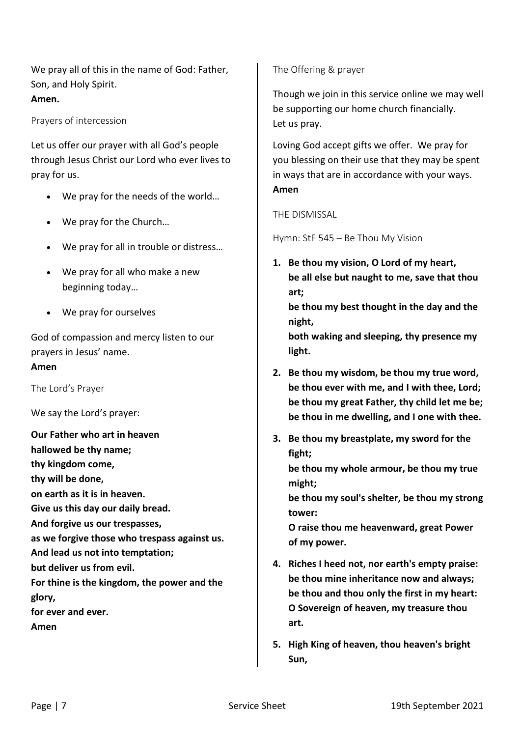We pray all of this in the name of God: Father, Son, and Holy Spirit. **Amen.**

Prayers of intercession

Let us offer our prayer with all God's people through Jesus Christ our Lord who ever lives to pray for us.

- We pray for the needs of the world...
- We pray for the Church...
- We pray for all in trouble or distress…
- We pray for all who make a new beginning today…
- We pray for ourselves

God of compassion and mercy listen to our prayers in Jesus' name.

#### **Amen**

The Lord's Prayer

We say the Lord's prayer:

**Our Father who art in heaven hallowed be thy name; thy kingdom come, thy will be done, on earth as it is in heaven. Give us this day our daily bread. And forgive us our trespasses, as we forgive those who trespass against us. And lead us not into temptation; but deliver us from evil. For thine is the kingdom, the power and the glory, for ever and ever. Amen**

The Offering & prayer

Though we join in this service online we may well be supporting our home church financially. Let us pray.

Loving God accept gifts we offer. We pray for you blessing on their use that they may be spent in ways that are in accordance with your ways. **Amen**

#### THE DISMISSAL

Hymn: StF 545 – Be Thou My Vision

**1. Be thou my vision, O Lord of my heart, be all else but naught to me, save that thou art;**

**be thou my best thought in the day and the night,**

**both waking and sleeping, thy presence my light.**

- **2. Be thou my wisdom, be thou my true word, be thou ever with me, and I with thee, Lord; be thou my great Father, thy child let me be; be thou in me dwelling, and I one with thee.**
- **3. Be thou my breastplate, my sword for the fight;**

**be thou my whole armour, be thou my true might;**

**be thou my soul's shelter, be thou my strong tower:**

**O raise thou me heavenward, great Power of my power.**

- **4. Riches I heed not, nor earth's empty praise: be thou mine inheritance now and always; be thou and thou only the first in my heart: O Sovereign of heaven, my treasure thou art.**
- **5. High King of heaven, thou heaven's bright Sun,**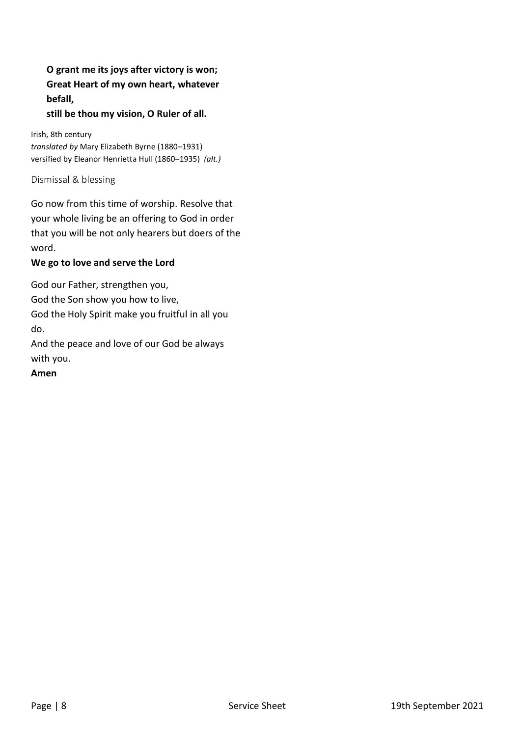**O grant me its joys after victory is won; Great Heart of my own heart, whatever befall,**

**still be thou my vision, O Ruler of all.**

Irish, 8th century *translated by* Mary Elizabeth Byrne (1880–1931) versified by Eleanor Henrietta Hull (1860–1935) *(alt.)*

Dismissal & blessing

Go now from this time of worship. Resolve that your whole living be an offering to God in order that you will be not only hearers but doers of the word.

#### **We go to love and serve the Lord**

God our Father, strengthen you,

God the Son show you how to live,

God the Holy Spirit make you fruitful in all you do.

And the peace and love of our God be always with you.

**Amen**